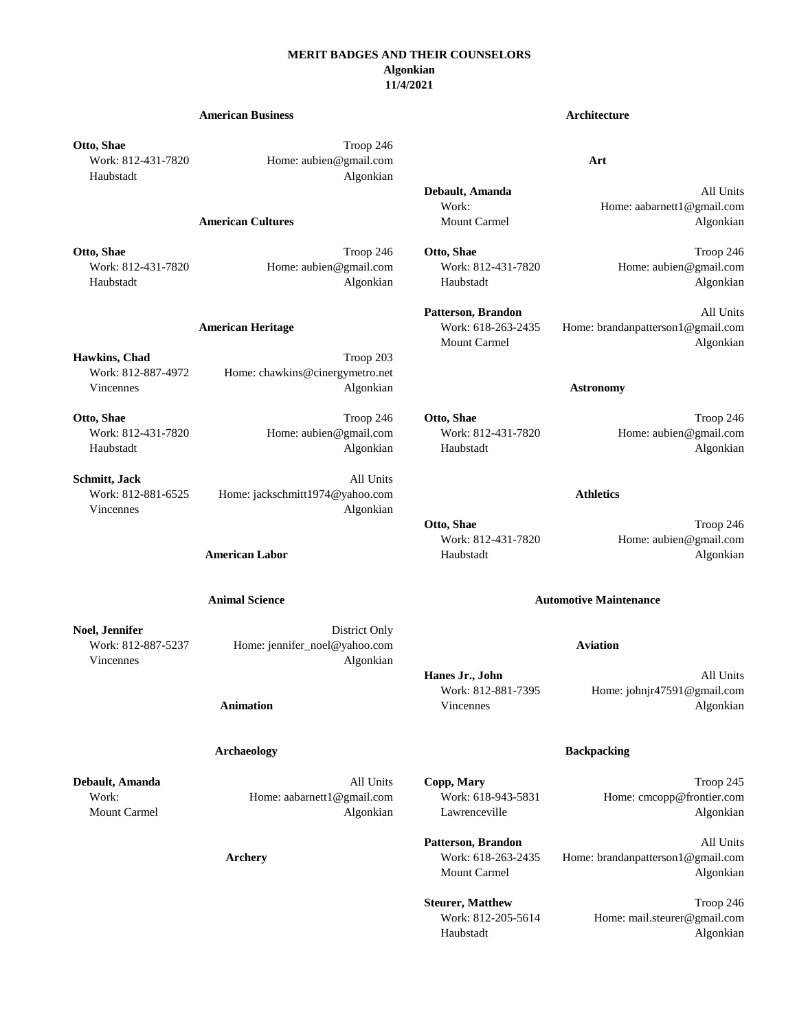## **MERIT BADGES AND THEIR COUNSELORS Algonkian 11/4/2021**

# **American Business Architecture Otto, Shae** Troop 246 Work: 812-431-7820 Home: aubien@gmail.com **Art** Haubstadt Algonkian **Debault, Amanda** All Units Work: Home: aabarnett1@gmail.com **American Cultures** Mount Carmel **Mount Carmel** Algonkian **Otto, Shae** Troop 246 **Otto, Shae** Troop 246 **Otto, Shae** Troop 246 **Otto, Shae** Troop 246 Work: 812-431-7820 Home: aubien@gmail.com Work: 812-431-7820 Home: aubien@gmail.com Haubstadt Algonkian Haubstadt Algonkian Patterson, Brandon **All Units American Heritage** Work: 618-263-2435 Home: brandanpatterson1@gmail.com Mount Carmel Algonkian Hawkins, Chad Troop 203 Work: 812-887-4972 Home: chawkins@cinergymetro.net Vincennes Algonkian **Astronomy Otto, Shae** Troop 246 **Otto, Shae** Troop 246 **Otto, Shae** Troop 246 **Otto, Shae** Troop 246 Work: 812-431-7820 Home: aubien@gmail.com Work: 812-431-7820 Home: aubien@gmail.com Haubstadt Algonkian Haubstadt Algonkian **Schmitt, Jack** All Units Work: 812-881-6525 Home: jackschmitt1974@yahoo.com **Athletics** Vincennes Algonkian **Otto, Shae** Troop 246 Work: 812-431-7820 Home: aubien@gmail.com **American Labor Manufacture Algonization Haubstadt Algonization Algonization Algonization Algonization Animal Science Automotive Maintenance Noel, Jennifer** District Only Work: 812-887-5237 Home: jennifer\_noel@yahoo.com **Aviation** Vincennes Algonkian **Hanes Jr., John** All Units Work: 812-881-7395 Home: johnjr47591@gmail.com

# **Animation** Algonkian **Vincennes Algonkian**

## **Archaeology Backpacking**

**Debault, Amanda** Troop 245 **All Units Copp, Mary** Troop 245 Work: https://educit/movietabarnett1@gmail.com Work: 618-943-5831 Home: cmcopp@frontier.com Mount Carmel **Algonkian** Algonkian Lawrenceville **Algonkian** Lawrenceville **Algonkian** 

> **Patterson, Brandon** All Units **Archery** Work: 618-263-2435 Home: brandanpatterson1@gmail.com Mount Carmel **Algonkian**

> > **Steurer, Matthew Troop 246** Work: 812-205-5614 Home: mail.steurer@gmail.com Haubstadt Algonkian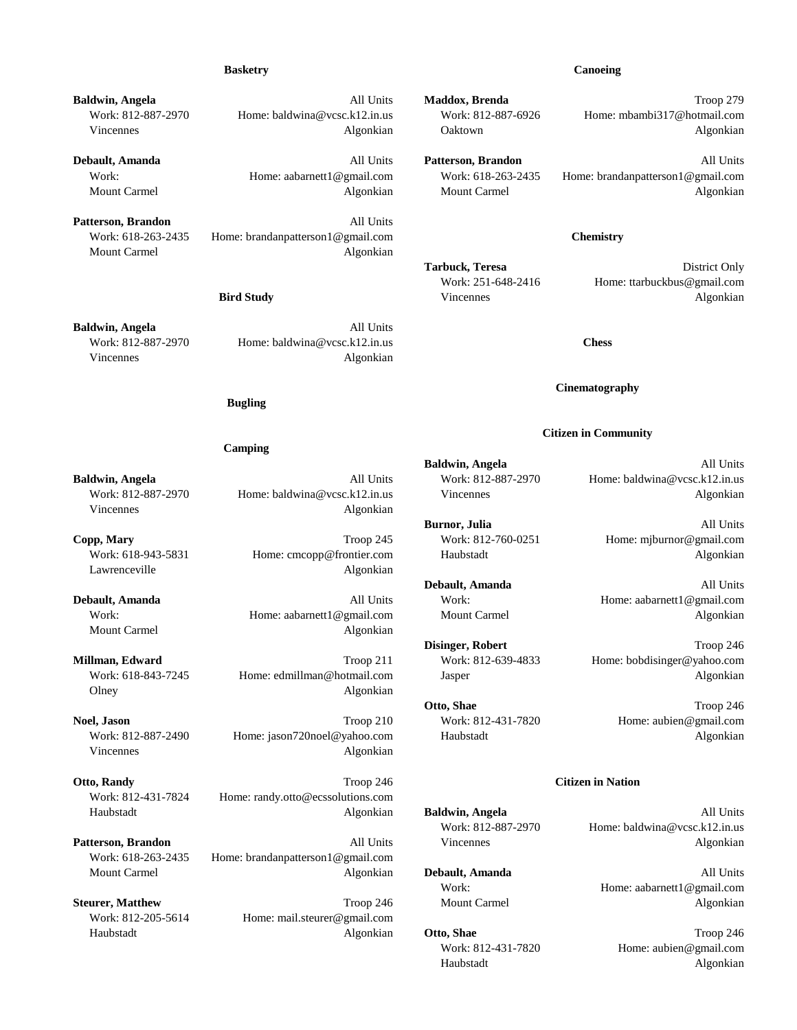**Baldwin, Angela All Units Maddox, Brenda All Units Maddox, Brenda All Units Maddox, Brenda Troop 279** Work: 812-887-2970 Home: baldwina@vcsc.k12.in.us Work: 812-887-6926 Home: mbambi317@hotmail.com Vincennes and Algonkian and Algonkian and Oaktown and Algonkian Algonkian

Mount Carmel **Algonkian** Algonkian Mount Carmel Algonkian Algonkian

Patterson, Brandon **All Units** Work: 618-263-2435 Home: brandanpatterson1@gmail.com **Chemistry** Mount Carmel Algonkian

**Baldwin, Angela** All Units Work: 812-887-2970 Home: baldwina@vcsc.k12.in.us **Chess** Vincennes Algonkian

### **Bugling**

### **Camping**

Work: 812-887-2970 Home: baldwina@vcsc.k12.in.us Vincennes Vincennes Algonkian Vincennes Algonkian

**Copp, Mary** Troop 245 Work: 812-760-0251 Home: mjburnor@gmail.com Work: 618-943-5831 Home: cmcopp@frontier.com Haubstadt Algonkian Lawrenceville Algonkian

Work: Home: aabarnett1@gmail.com Mount Carmel Algonkian Algonkian Mount Carmel Algonkian

Olney Algonkian

**Noel, Jason Troop 210** Work: 812-431-7820 Home: aubien@gmail.com Work: 812-887-2490 Home: jason720noel@yahoo.com Haubstadt Algonkian Vincennes Algonkian

**Otto, Randy Community Community Community Community Community Community Citizen in Nation** Work: 812-431-7824 Home: randy.otto@ecssolutions.com Haubstadt Algonkian **Baldwin, Angela** All Units

**Patterson, Brandon** All Units All Units Vincennes Algonkian Algonkian Work: 618-263-2435 Home: brandanpatterson1@gmail.com Mount Carmel Algonkian **Debault, Amanda** All Units

Work: 812-205-5614 Home: mail.steurer@gmail.com Haubstadt Algonkian **Otto, Shae** Troop 246

### **Basketry Canoeing**

**Debault, Amanda** All Units **Patterson, Brandon** All Units Work: Home: aabarnett1@gmail.com Work: 618-263-2435 Home: brandanpatterson1@gmail.com

Tarbuck, Teresa District Only Work: 251-648-2416 Home: ttarbuckbus@gmail.com **Bird Study Contract Algonization Vincennes Contract Algonization Algonization Algonization Algonization** 

### **Cinematography**

### **Citizen in Community**

**Baldwin, Angela** All Units **Baldwin, Angela All Units** Work: 812-887-2970 Home: baldwina@vcsc.k12.in.us

**Burnor, Julia** All Units

**Debault, Amanda** All Units **Debault, Amanda All Units** Work: Home: aabarnett1@gmail.com

**Disinger, Robert** Troop 246 **Millman, Edward** Troop 211 Work: 812-639-4833 Home: bobdisinger@yahoo.com Work: 618-843-7245 Home: edmillman@hotmail.com Jasper Algonkian

**Otto, Shae** Troop 246

Work: 812-887-2970 Home: baldwina@vcsc.k12.in.us

Work: Home: aabarnett1@gmail.com **Steurer, Matthew Troop 246 Mount Carmel Algonkian** 

> Work: 812-431-7820 Home: aubien@gmail.com Haubstadt Algonkian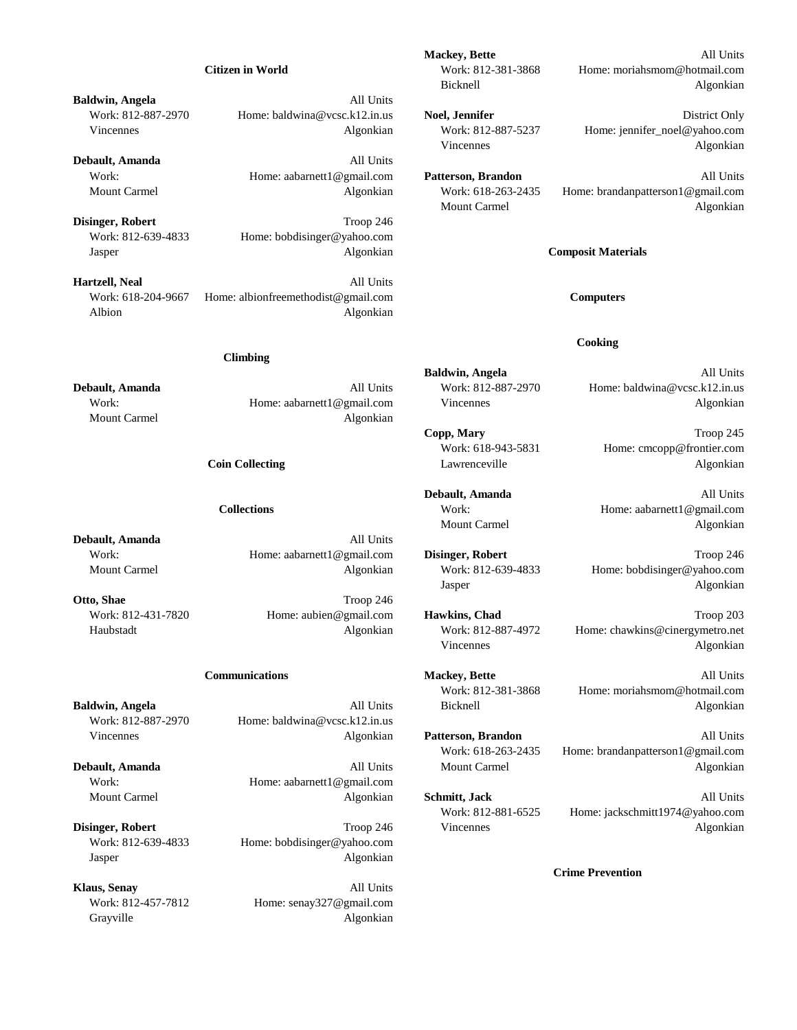**Baldwin, Angela** All Units

**Debault, Amanda** All Units

**Disinger, Robert** Troop 246 Work: 812-639-4833 Home: bobdisinger@yahoo.com Jasper Algonkian **Composit Materials**

**Hartzell, Neal** All Units Work: 618-204-9667 Home: albionfreemethodist@gmail.com **Computers** Albion Algonkian

## **Climbing**

Mount Carmel **Algonizian** 

**Debault, Amanda** All Units

Work: 812-887-2970 Home: baldwina@vcsc.k12.in.us Vincennes Algonkian **Patterson, Brandon** All Units

Work: Home: aabarnett1@gmail.com

Work: 812-639-4833 Home: bobdisinger@yahoo.com Jasper Algonkian

**Klaus, Senay** All Units Work: 812-457-7812 Home: senay327@gmail.com Grayville Algonkian

**Mackey, Bette** All Units **Citizen in World** Work: 812-381-3868 Home: moriahsmom@hotmail.com Bicknell Algonkian

Work: 812-887-2970 Home: baldwina@vcsc.k12.in.us **Noel, Jennifer** District Only Vincennes and Algonkian Mork: 812-887-5237 Home: jennifer\_noel@yahoo.com Vincennes Algonkian

Work: **Home: aabarnett1@gmail.com Patterson, Brandon** and All Units Mount Carmel Algonkian Work: 618-263-2435 Home: brandanpatterson1@gmail.com Mount Carmel **Algonkian** 

### **Cooking**

**Baldwin, Angela** All Units **Debault, Amanda All Units** Work: 812-887-2970 Home: baldwina@vcsc.k12.in.us Work: Home: aabarnett1@gmail.com Vincennes Algonkian

> **Copp, Mary** Troop 245 Work: 618-943-5831 Home: cmcopp@frontier.com **Coin Collecting Community Coin Collecting Community Community Community Community Community Community Community Community Community Community Community Community Community Community Community Community Community Community**

**Debault, Amanda** All Units **Collections** Work: Home: aabarnett1@gmail.com Mount Carmel **Algonkian** 

Work: **Home:** aabarnett1@gmail.com **Disinger, Robert** Troop 246 Mount Carmel **Algonkian** Work: 812-639-4833 Home: bobdisinger@yahoo.com Jasper Algonkian

Work: 812-431-7820 **Home:** aubien@gmail.com **Hawkins, Chad** Troop 203 Haubstadt Algonkian Work: 812-887-4972 Home: chawkins@cinergymetro.net Vincennes Algonkian

**Communications Mackey, Bette All Units** Work: 812-381-3868 Home: moriahsmom@hotmail.com **Baldwin, Angela** All **All Units** All Units Bicknell **All Algonkian** Algonkian

Work: 618-263-2435 Home: brandanpatterson1@gmail.com **Debault, Amanda** All **All Units** Mount Carmel Algonkian Algonkian

Mount Carmel Algonkian **Schmitt, Jack** All Units Work: 812-881-6525 Home: jackschmitt1974@yahoo.com **Disinger, Robert** Algonkian Troop 246 Vincennes Algonkian Algonkian

**Crime Prevention**

**Otto, Shae** Troop 246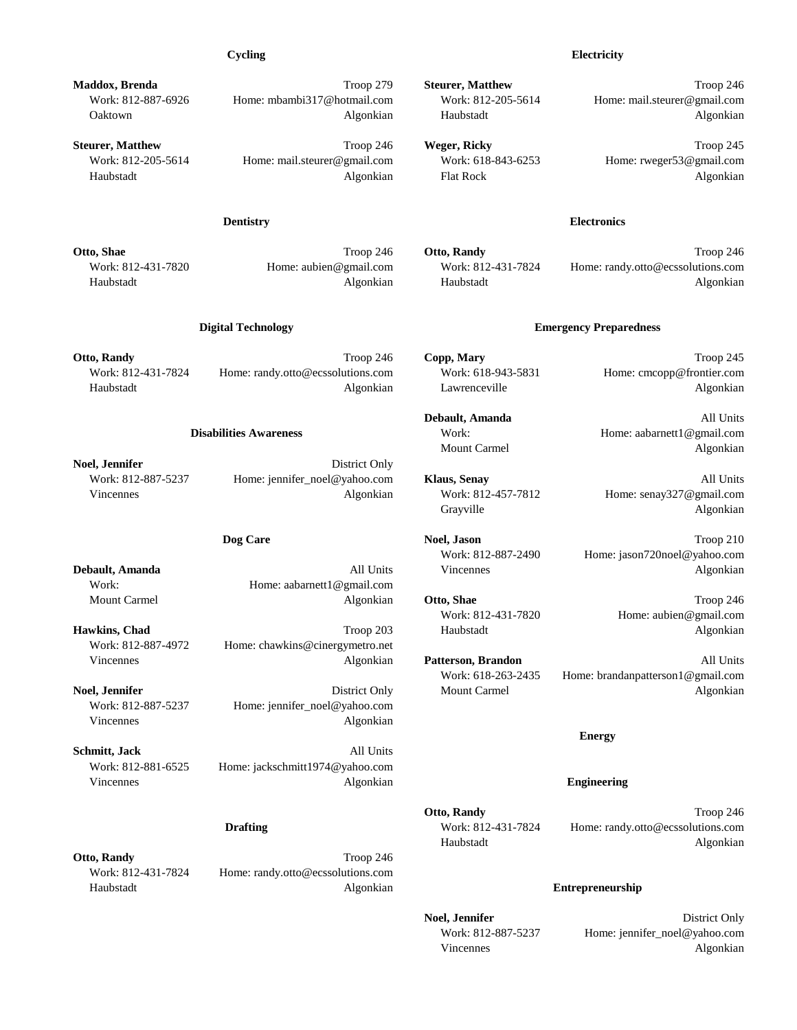**Otto, Randy** Troop 246 **Copp, Mary** Troop 245 **Copp, 215** Troop 245

Work: 812-431-7824 Home: randy.otto@ecssolutions.com Work: 618-943-5831 Home: cmcopp@frontier.com Haubstadt Algonkian Lawrenceville Algonkian

**Noel, Jennifer** District Only Work: 812-887-5237 Home: jennifer\_noel@yahoo.com **Klaus, Senay** All Units Vincennes and Algonkian Mork: 812-457-7812 Home: senay327@gmail.com

Work: Home: aabarnett1@gmail.com Mount Carmel **Algonkian Otto, Shae** Troop 246

**Hawkins, Chad Haubstadt Haubstadt Algonkian** Work: 812-887-4972 Home: chawkins@cinergymetro.net Vincennes Algonkian **Patterson, Brandon** All Units

Work: 812-887-5237 Home: jennifer\_noel@yahoo.com Vincennes Algonkian

**Schmitt, Jack** All Units Work: 812-881-6525 Home: jackschmitt1974@yahoo.com Vincennes Algonkian **Engineering**

**Otto, Randy** Troop 246 Work: 812-431-7824 Home: randy.otto@ecssolutions.com Haubstadt Algonkian **Entrepreneurship**

**Maddox, Brenda** Troop 279 **Steurer, Matthew** Troop 246

**Steurer, Matthew Troop 246 Weger, Ricky Troop 245 Troop 245 Weger, Ricky Troop 245** 

Work: 812-887-6926 Home: mbambi317@hotmail.com Work: 812-205-5614 Home: mail.steurer@gmail.com Oaktown Algonkian Haubstadt Algonkian

Work: 812-205-5614 Home: mail.steurer@gmail.com Work: 618-843-6253 Home: rweger53@gmail.com Haubstadt Algonkian Flat Rock Algonkian

## **Dentistry Electronics**

**Otto, Shae Troop 246 Contract Contract Contract Contract Contract Contract Contract Contract Contract Contract Contract Contract Contract Contract Contract Contract Contract Contract Contract Contract Contract Contract Co** Work: 812-431-7820 Home: aubien@gmail.com Work: 812-431-7824 Home: randy.otto@ecssolutions.com Haubstadt Algonkian Haubstadt Algonkian

## **Digital Technology Emergency Preparedness**

**Debault, Amanda** All Units **Disabilities Awareness** Work: Work: Home: aabarnett1@gmail.com Mount Carmel Algonkian

Grayville Algonkian

**Dog Care** Troop 210 Work: 812-887-2490 Home: jason720noel@yahoo.com **Debault, Amanda** All Units All Units Vincennes Algonkian Algonkian

Work: 812-431-7820 Home: aubien@gmail.com

Work: 618-263-2435 Home: brandanpatterson1@gmail.com **Noel, Jennifer** Algonkian Algonkian District Only Mount Carmel Algonkian Algonkian

## **Energy**

**Otto, Randy** Troop 246 **Drafting** Work: 812-431-7824 Home: randy.otto@ecssolutions.com Haubstadt Algonkian

**Noel, Jennifer** District Only Work: 812-887-5237 Home: jennifer\_noel@yahoo.com Vincennes Algonkian

## **Cycling Electricity**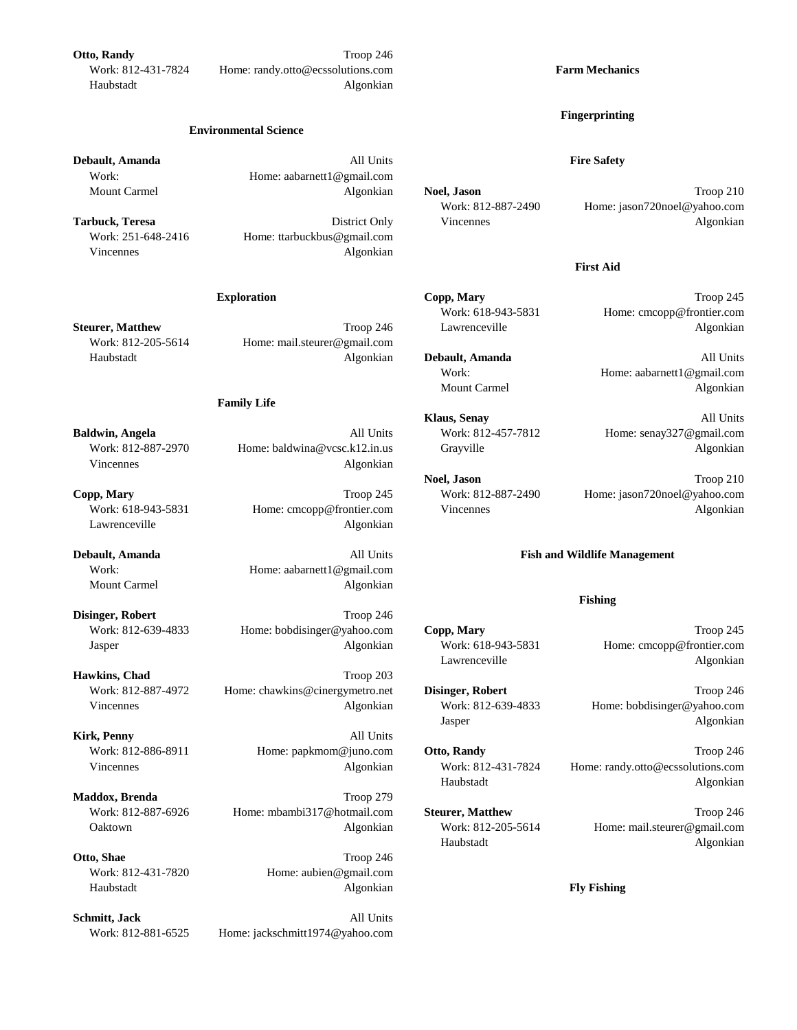**Otto, Randy** Troop 246 Work: 812-431-7824 Home: randy.otto@ecssolutions.com **Farm Mechanics** Haubstadt Algonkian

### **Environmental Science**

**Debault, Amanda All Units Fire Safety** Work: Home: aabarnett1@gmail.com

Work: 251-648-2416 Home: ttarbuckbus@gmail.com Vincennes Algonkian

**Steurer, Matthew Troop 246** Lawrenceville Algonkian Work: 812-205-5614 Home: mail.steurer@gmail.com Haubstadt Algonkian **Debault, Amanda** All Units

## **Family Life**

Vincennes Algonkian

Lawrenceville Algonkian

Work: Home: aabarnett1@gmail.com Mount Carmel Algonkian

**Disinger, Robert** Troop 246 Work: 812-639-4833 Home: bobdisinger@yahoo.com **Copp, Mary** Troop 245 Jasper Algonkian Work: 618-943-5831 Home: cmcopp@frontier.com

**Hawkins, Chad** Troop 203 Work: 812-887-4972 Home: chawkins@cinergymetro.net **Disinger, Robert** Troop 246 Vincennes Algonkian Work: 812-639-4833 Home: bobdisinger@yahoo.com

**Kirk, Penny** All Units

**Maddox, Brenda** Troop 279 Work: 812-887-6926 Home: mbambi317@hotmail.com **Steurer, Matthew** Troop 246

**Otto, Shae** Troop 246 Work: 812-431-7820 Home: aubien@gmail.com Haubstadt Algonkian **Fly Fishing**

**Schmitt, Jack** All Units Work: 812-881-6525 Home: jackschmitt1974@yahoo.com

### **Fingerprinting**

Mount Carmel **Algonkian Noel, Jason Noel Algonkian Noel, Jason Troop 210** Work: 812-887-2490 Home: jason720noel@yahoo.com **Tarbuck, Teresa District Only District Only Vincennes Constanting Constanting Algonkian** 

## **First Aid**

**Exploration Copp, Mary Copp, Mary** Troop 245 Work: 618-943-5831 Home: cmcopp@frontier.com

Work: Home: aabarnett1@gmail.com Mount Carmel Algonkian

**Klaus, Senay** All Units **Baldwin, Angela All Units** Work: 812-457-7812 Home: senay327@gmail.com Work: 812-887-2970 Home: baldwina@vcsc.k12.in.us Grayville Grayulle Algonkian

**Noel, Jason** Troop 210 **Copp, Mary** Troop 245 Work: 812-887-2490 Home: jason720noel@yahoo.com Work: 618-943-5831 Home: cmcopp@frontier.com Vincennes Algonkian

# **Debault, Amanda All Units Fish and Wildlife Management**

## **Fishing**

Lawrenceville Algonkian

Jasper Algonkian

Work: 812-886-8911 Home: papkmom@juno.com **Otto, Randy** Troop 246 Vincennes Algonkian Work: 812-431-7824 Home: randy.otto@ecssolutions.com Haubstadt Algonkian

Oaktown Algonkian Work: 812-205-5614 Home: mail.steurer@gmail.com Haubstadt Algonkian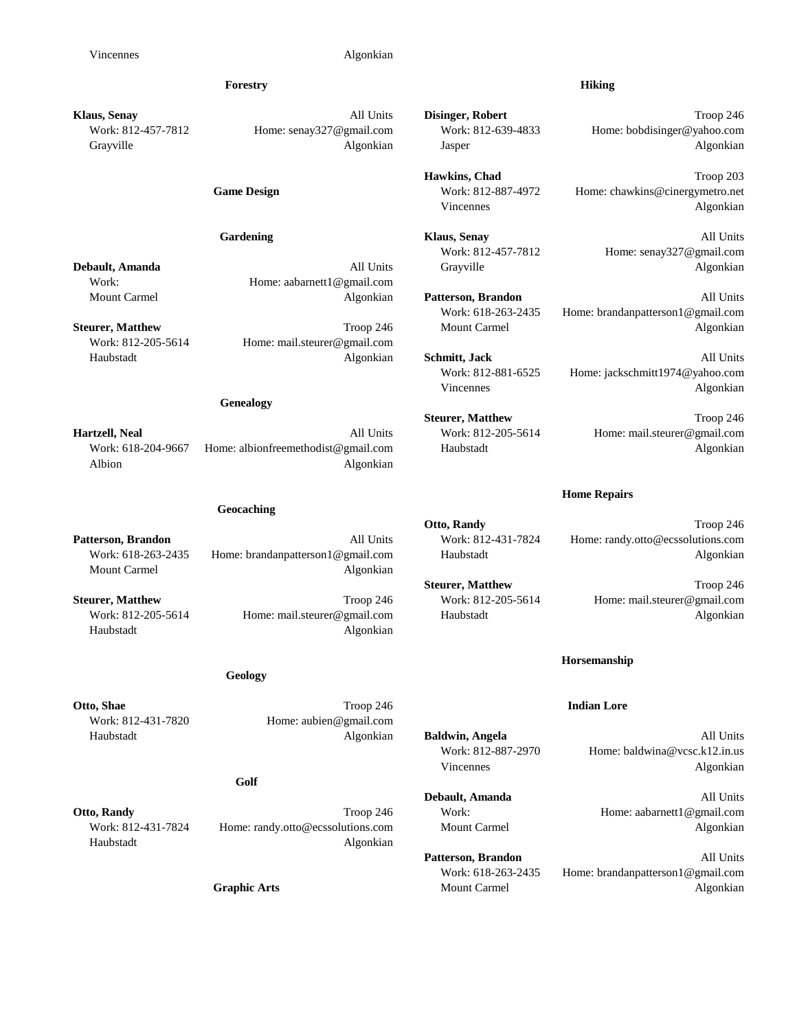## **Klaus, Senay** All Units **Disinger, Robert** Troop 246 Work: 812-457-7812 Home: senay327@gmail.com Work: 812-639-4833 Home: bobdisinger@yahoo.com Grayville Algonkian Algonkian Jasper Algonkian Algonkian Jasper Algonkian

Work: Home: aabarnett1@gmail.com

Work: 812-205-5614 Home: mail.steurer@gmail.com

### **Genealogy**

**Hartzell, Neal All Units** Work: 812-205-5614 Home: mail.steurer@gmail.com Work: 618-204-9667 Home: albionfreemethodist@gmail.com Haubstadt Algonkian Albion Algonkian

## **Geocaching**

**Patterson, Brandon** All Units Work: 812-431-7824 Home: randy.otto@ecssolutions.com Work: 618-263-2435 Home: brandanpatterson1@gmail.com Haubstadt Algonkian Mount Carmel **Algonizian** 

**Steurer, Matthew Troop 246** Work: 812-205-5614 Home: mail.steurer@gmail.com Work: 812-205-5614 Home: mail.steurer@gmail.com Haubstadt Algonkian Haubstadt Algonkian

### **Geology**

**Otto, Shae Indian Lore** Troop 246 **Indian Lore** 

Work: 812-431-7820 Home: aubien@gmail.com Haubstadt Algonkian **Baldwin, Angela** All Units

### **Golf**

**Otto, Randy Community Community Community Community Community Community Community Community Community Community Community Community Community Community Community Community Community Community Community Community Community** Work: 812-431-7824 Home: randy.otto@ecssolutions.com Mount Carmel Algonkian Haubstadt Algonkian

## **Forestry Hiking**

Hawkins, Chad Troop 203 Game Design Work: 812-887-4972 Home: chawkins@cinergymetro.net Vincennes Algonkian

**Gardening Klaus, Senay Cardening Cardening All Units** Work: 812-457-7812 Home: senay327@gmail.com **Debault, Amanda** All Units All Units Grayville Algonkian

Mount Carmel Algonkian **Patterson, Brandon** All Units

Haubstadt Algonkian **Schmitt, Jack** All Units

Work: 618-263-2435 Home: brandanpatterson1@gmail.com **Steurer, Matthew Troop 246 Mount Carmel Algonkian** 

Work: 812-881-6525 Home: jackschmitt1974@yahoo.com Vincennes Algonkian

**Steurer, Matthew Troop 246** 

### **Home Repairs**

**Otto, Randy** Troop 246

**Steurer, Matthew Troop 246** 

### **Horsemanship**

Work: 812-887-2970 Home: baldwina@vcsc.k12.in.us Vincennes Algonkian

**Debault, Amanda** All Units

Patterson, Brandon **All Units** Work: 618-263-2435 Home: brandanpatterson1@gmail.com **Graphic Arts** Mount Carmel Algonkian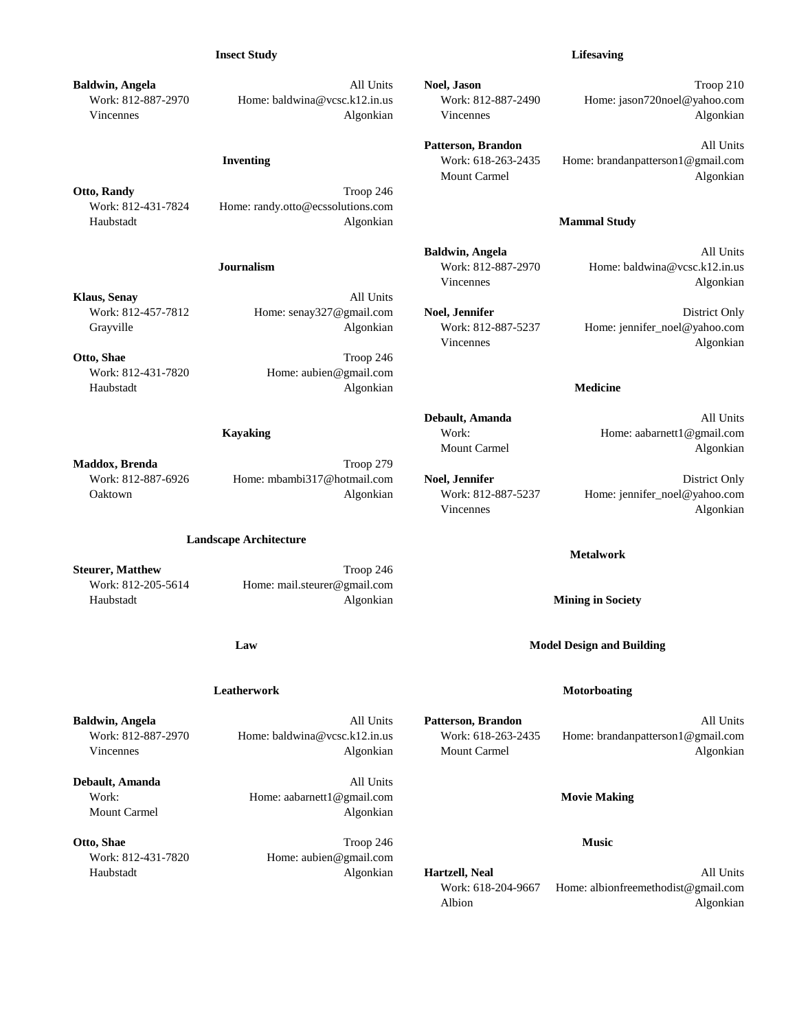### **Insect Study Lifesaving**

**Baldwin, Angela All Units Noel, Jason Company Troop 210** 

**Otto, Randy** Troop 246 Work: 812-431-7824 Home: randy.otto@ecssolutions.com Haubstadt Algonkian **Mammal Study**

**Klaus, Senay** All Units

**Otto, Shae** Troop 246 Work: 812-431-7820 Home: aubien@gmail.com Haubstadt Algonkian **Medicine**

**Maddox, Brenda** Troop 279

### **Landscape Architecture**

**Steurer, Matthew Troop 246** Work: 812-205-5614 Home: mail.steurer@gmail.com Haubstadt Algonkian **Mining in Society**

**Debault, Amanda** All Units Work: Home: aabarnett1@gmail.com **Movie Making** Mount Carmel Algonkian

**Otto, Shae Music Music Music Music Music Music Music Music Music** Work: 812-431-7820 Home: aubien@gmail.com

Work: 812-887-2970 Home: baldwina@vcsc.k12.in.us Work: 812-887-2490 Home: jason720noel@yahoo.com

Vincennes Algonkian Mission and Algonkian Vincennes and Algonkian Algonkian Patterson, Brandon **All Units** 

**Inventing** Work: 618-263-2435 Home: brandanpatterson1@gmail.com Mount Carmel **Algonizian** 

**Baldwin, Angela** All Units **Journalism** Work: 812-887-2970 Home: baldwina@vcsc.k12.in.us Vincennes Algonkian

Vincennes Algonkian

Work: 812-457-7812 Home: senay327@gmail.com **Noel, Jennifer** District Only Grayville **Algonkian** Work: 812-887-5237 Home: jennifer\_noel@yahoo.com

**Debault, Amanda** All Units **Kayaking** Work: Home: aabarnett1@gmail.com Mount Carmel Algonkian

Work: 812-887-6926 Home: mbambi317@hotmail.com **Noel, Jennifer** District Only

Oaktown Algonkian Work: 812-887-5237 Home: jennifer\_noel@yahoo.com Vincennes Algonkian

### **Metalwork**

**Law Model Design and Building**

## **Leatherwork Motorboating**

**Baldwin, Angela** All Units **Patterson, Brandon** All Units Work: 812-887-2970 Home: baldwina@vcsc.k12.in.us Work: 618-263-2435 Home: brandanpatterson1@gmail.com Vincennes and Algonkian Mount Carmel Algonkian Mount Carmel Algonkian Algonkian

Haubstadt Algonkian **Hartzell, Neal** All Units Work: 618-204-9667 Home: albionfreemethodist@gmail.com Albion Algonkian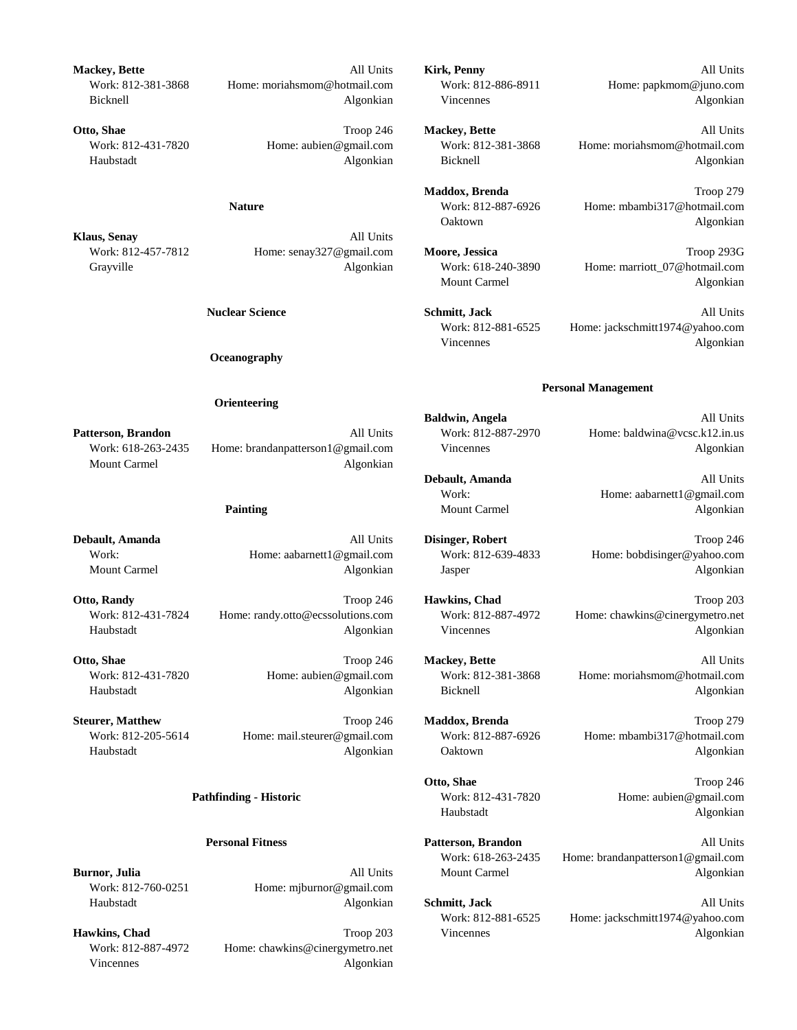**Mackey, Bette** All Units **Kirk, Penny** All Units

**Klaus, Senay** All Units

**Oceanography**

### **Orienteering**

Mount Carmel **Algonizian** 

Work: 812-431-7824 Home: randy.otto@ecssolutions.com Work: 812-887-4972 Home: chawkins@cinergymetro.net Haubstadt Algonkian Vincennes Algonkian

Work: 812-760-0251 Home: mjburnor@gmail.com Haubstadt Algonkian **Schmitt, Jack** All Units

Work: 812-887-4972 Home: chawkins@cinergymetro.net Vincennes Algonkian

Work: 812-381-3868 Home: moriahsmom@hotmail.com Work: 812-886-8911 Home: papkmom@juno.com Bicknell Algonkian Vincennes Algonkian

**Otto, Shae** Troop 246 **Mackey, Bette** All Units Work: 812-431-7820 Home: aubien@gmail.com Work: 812-381-3868 Home: moriahsmom@hotmail.com Haubstadt Algonkian Bicknell Algonkian

> **Maddox, Brenda** Troop 279 **Nature** Work: 812-887-6926 Home: mbambi317@hotmail.com Oaktown Algonkian

Work: 812-457-7812 Home: senay327@gmail.com **Moore, Jessica** Troop 293G Grayville **Algonkian** Work: 618-240-3890 Home: marriott\_07@hotmail.com Mount Carmel Algonkian

> **Nuclear Science Schmitt, Jack** All Units Work: 812-881-6525 Home: jackschmitt1974@yahoo.com Vincennes Algonkian

## **Personal Management**

**Baldwin, Angela** All Units **Patterson, Brandon All Units** Work: 812-887-2970 Home: baldwina@vcsc.k12.in.us Work: 618-263-2435 Home: brandanpatterson1@gmail.com Vincennes Algonkian

> **Debault, Amanda** All Units Work: Home: aabarnett1@gmail.com **Painting Algonkian** Mount Carmel **Algonizian** Algonkian

**Debault, Amanda** Troop 246 **All Units Disinger, Robert** Troop 246 Work: Home: aabarnett1@gmail.com Work: 812-639-4833 Home: bobdisinger@yahoo.com Mount Carmel **Algonkian** Algonkian and Jasper **Algonian** Jasper Algonkian Algonkian

**Otto, Randy Channel Channel Troop 246 <b>Hawkins, Chad** Troop 203

**Otto, Shae** Troop 246 **Mackey, Bette** All Units Work: 812-431-7820 Home: aubien@gmail.com Work: 812-381-3868 Home: moriahsmom@hotmail.com Haubstadt Algonkian Bicknell Algonkian

**Steurer, Matthew Troop 246 Maddox, Brenda** Troop 279 Work: 812-205-5614 Home: mail.steurer@gmail.com Work: 812-887-6926 Home: mbambi317@hotmail.com Haubstadt Algonkian Oaktown Algonkian

> **Otto, Shae** Troop 246 **Pathfinding - Historic** Work: 812-431-7820 Home: aubien@gmail.com Haubstadt Algonkian

**Personal Fitness Patterson, Brandon** All Units Work: 618-263-2435 Home: brandanpatterson1@gmail.com **Burnor, Julia** Algonkian All Units Mount Carmel Algonkian Algonkian

Work: 812-881-6525 Home: jackschmitt1974@yahoo.com **Hawkins, Chad** Algonkian **Troop 203** Vincennes **Troop 203** Vincennes Algonkian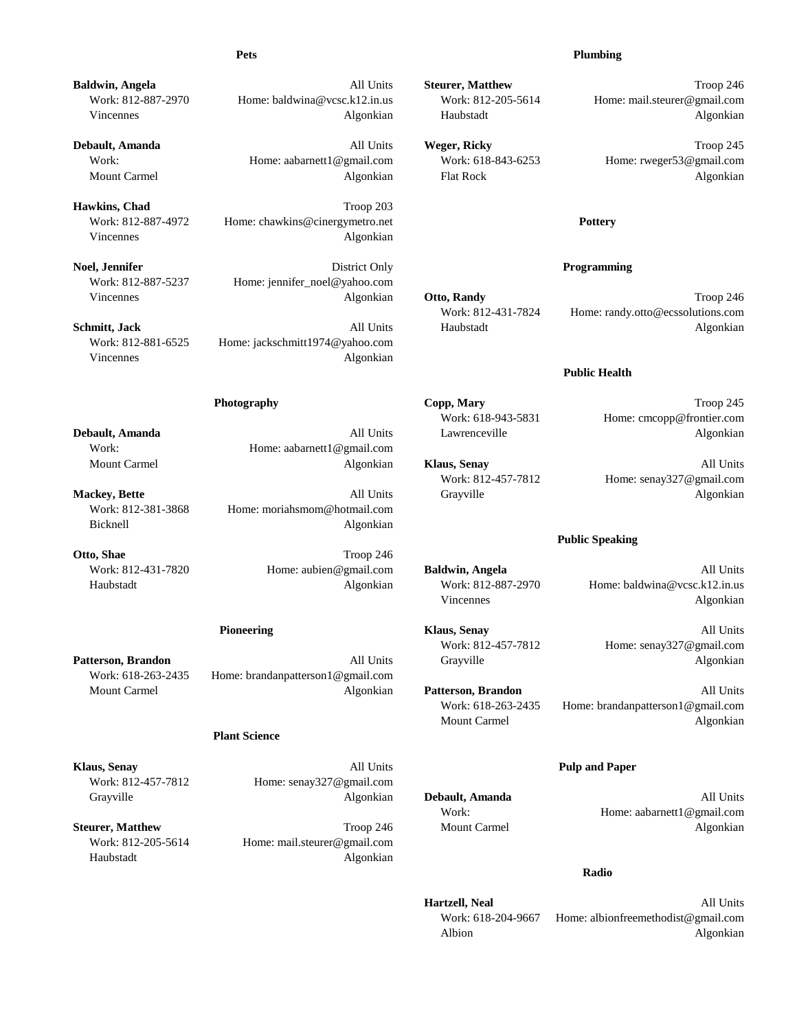### **Pets Plumbing**

**Baldwin, Angela All Units Steurer, Matthew Troop 246 All Units Steurer, Matthew Troop 246** Work: 812-887-2970 Home: baldwina@vcsc.k12.in.us Work: 812-205-5614 Home: mail.steurer@gmail.com

**Debault, Amanda** Troop 245 Work: Home: aabarnett1@gmail.com Work: 618-843-6253 Home: rweger53@gmail.com Mount Carmel **Algonkian** Flat Rock **Algonkian** Flat Rock **Algonkian** 

Hawkins, Chad<br>
Troop 203 Work: 812-887-4972 Home: chawkins@cinergymetro.net **Pottery** Vincennes Algonkian

**Noel, Jennifer Programming Programming Programming Programming** Work: 812-887-5237 Home: jennifer\_noel@yahoo.com Vincennes **Algonkian Otto, Randy Communist Communist Communist Communist Communist Communist Communist Communist Communist Communist Communist Communist Communist Communist Communist Communist Communist Communist Commu** 

Work: 812-881-6525 Home: jackschmitt1974@yahoo.com Vincennes Algonkian

Work: Home: aabarnett1@gmail.com

Work: 812-381-3868 Home: moriahsmom@hotmail.com Bicknell Algonkian

**Otto, Shae** Troop 246

Work: 618-263-2435 Home: brandanpatterson1@gmail.com

## **Plant Science**

**Klaus, Senay** All Units **Pulp and Paper** Work: 812-457-7812 Home: senay327@gmail.com Grayville Algonkian **Debault, Amanda** All Units

Work: 812-205-5614 Home: mail.steurer@gmail.com Haubstadt Algonkian

Vincennes and Algonkian Haubstadt Haubstadt Algonkian Haubstadt Algonkian

Work: 812-431-7824 Home: randy.otto@ecssolutions.com **Schmitt, Jack** Algonkian All Units Haubstadt Algonkian Algonkian

### **Public Health**

**Photography Copp, Mary Copp, Mary Troop 245** 

Work: 618-943-5831 Home: cmcopp@frontier.com **Debault, Amanda** All **All Units** Lawrenceville **All Lease Algonkian** 

Mount Carmel Algonkian **Klaus, Senay** All Units Work: 812-457-7812 Home: senay327@gmail.com **Mackey, Bette** All **All Units** Grayville **All Constanting Algonizian** Algonkian

### **Public Speaking**

Work: 812-431-7820 Home: aubien@gmail.com **Baldwin, Angela** All Units Haubstadt Algonkian Work: 812-887-2970 Home: baldwina@vcsc.k12.in.us Vincennes Algonkian

**Pioneering Klaus, Senay All Units All Units All Units** Work: 812-457-7812 Home: senay327@gmail.com **Patterson, Brandon** All Units All Units Grayville Algonkian

Mount Carmel Algonkian **Patterson, Brandon** All Units Work: 618-263-2435 Home: brandanpatterson1@gmail.com Mount Carmel **Algonizian** 

Work: Home: aabarnett1@gmail.com **Steurer, Matthew Troop 246 Mount Carmel Algonkian** 

## **Radio**

**Hartzell, Neal** All Units Work: 618-204-9667 Home: albionfreemethodist@gmail.com Albion Algonkian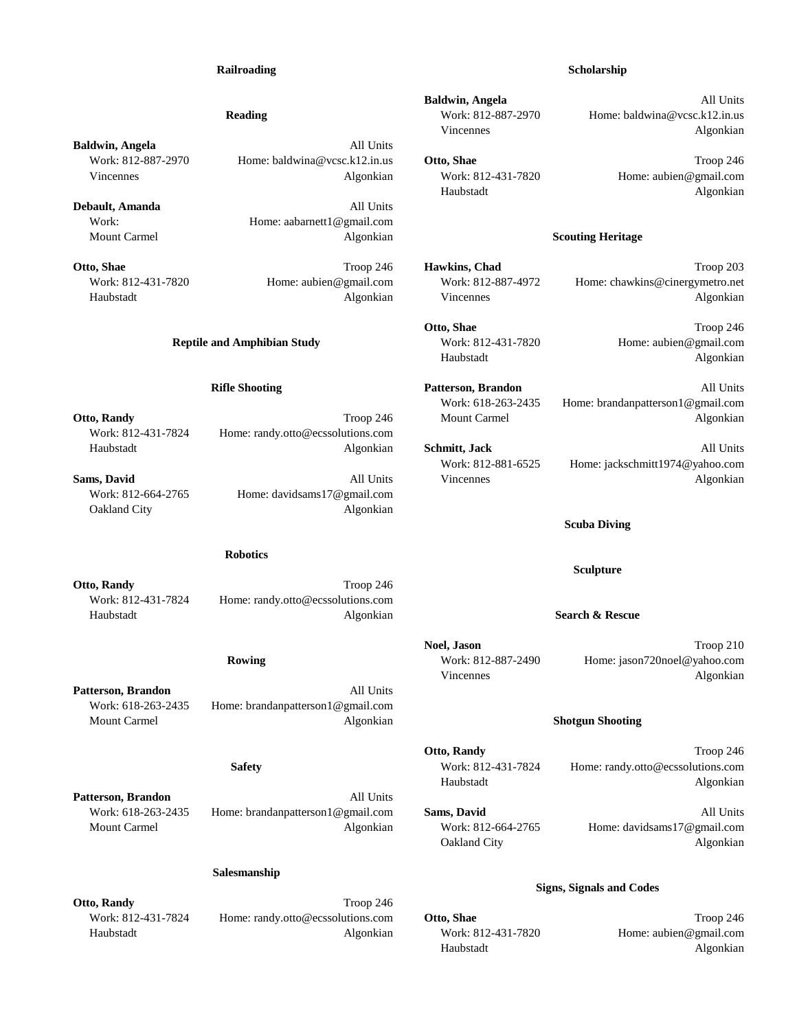## **Railroading Scholarship**

**Baldwin, Angela** All Units Work: 812-887-2970 Home: baldwina@vcsc.k12.in.us **Otto, Shae** Troop 246 Vincennes and the Microsoft Christian Mork: 812-431-7820 Home: aubien@gmail.com

**Debault, Amanda** All Units Work: Home: aabarnett1@gmail.com Mount Carmel **Algonkian Algonkian Algonkian Scouting Heritage** 

Work: 812-431-7824 Home: randy.otto@ecssolutions.com Haubstadt Algonkian **Schmitt, Jack** All Units

Work: 812-664-2765 Home: davidsams17@gmail.com Oakland City Algonkian

### **Robotics**

**Otto, Randy** Troop 246 Work: 812-431-7824 Home: randy.otto@ecssolutions.com Haubstadt Algonkian **Search & Rescue**

**Patterson, Brandon** All Units Work: 618-263-2435 Home: brandanpatterson1@gmail.com Mount Carmel Algonkian **Shotgun Shooting**

Patterson, Brandon **All Units** Work: 618-263-2435 Home: brandanpatterson1@gmail.com **Sams, David** All Units Mount Carmel Algonkian Work: 812-664-2765 Home: davidsams17@gmail.com

## **Salesmanship**

**Otto, Randy** Troop 246 Work: 812-431-7824 Home: randy.otto@ecssolutions.com **Otto, Shae** Troop 246 Haubstadt Algonkian Work: 812-431-7820 Home: aubien@gmail.com

**Baldwin, Angela** All Units

**Reading** Work: 812-887-2970 Home: baldwina@vcsc.k12.in.us Vincennes Algonkian

Haubstadt Algonkian

**Otto, Shae** Troop 246 **Hawkins, Chad** Troop 203 Work: 812-431-7820 Home: aubien@gmail.com Work: 812-887-4972 Home: chawkins@cinergymetro.net Haubstadt Algonkian Vincennes Algonkian

Haubstadt Algonkian

**Otto, Shae** Troop 246 **Reptile and Amphibian Study** Work: 812-431-7820 Home: aubien@gmail.com

**Rifle Shooting Patterson, Brandon** All Units Work: 618-263-2435 Home: brandanpatterson1@gmail.com **Otto, Randy Community Algonizian Community Community Community Community Community Community Community Community Community Community Community Community Community Community Community Community Community Community Commun** 

Work: 812-881-6525 Home: jackschmitt1974@yahoo.com **Sams, David** Algonkian All Units Vincennes Algonkian Algonkian

**Scuba Diving**

**Sculpture**

**Noel, Jason** Troop 210 **Rowing** Work: 812-887-2490 Home: jason720noel@yahoo.com Vincennes Algonkian

**Otto, Randy** Troop 246 **Safety** Work: 812-431-7824 Home: randy.otto@ecssolutions.com Haubstadt Algonkian

Oakland City Algonkian

## **Signs, Signals and Codes**

Haubstadt Algonkian